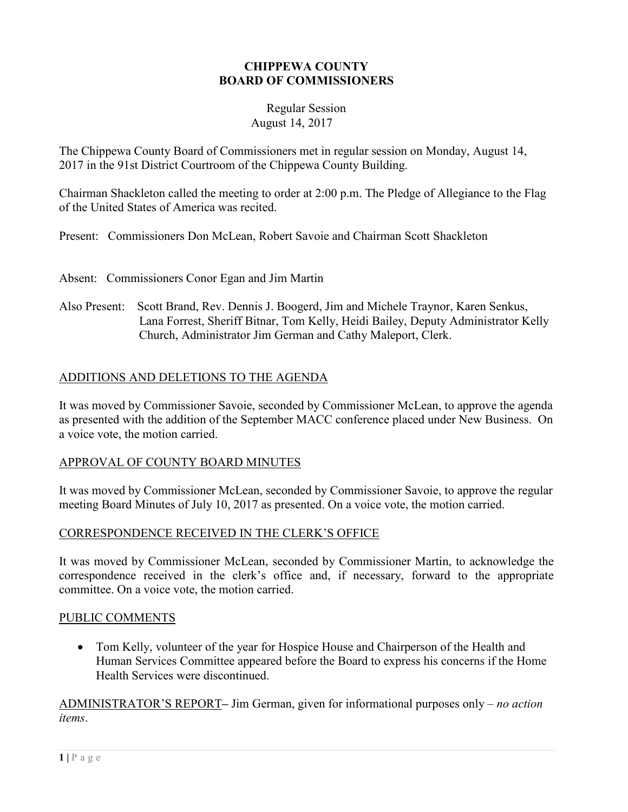#### **CHIPPEWA COUNTY BOARD OF COMMISSIONERS**

#### Regular Session August 14, 2017

The Chippewa County Board of Commissioners met in regular session on Monday, August 14, 2017 in the 91st District Courtroom of the Chippewa County Building.

Chairman Shackleton called the meeting to order at 2:00 p.m. The Pledge of Allegiance to the Flag of the United States of America was recited.

Present: Commissioners Don McLean, Robert Savoie and Chairman Scott Shackleton

Absent: Commissioners Conor Egan and Jim Martin

Also Present: Scott Brand, Rev. Dennis J. Boogerd, Jim and Michele Traynor, Karen Senkus, Lana Forrest, Sheriff Bitnar, Tom Kelly, Heidi Bailey, Deputy Administrator Kelly Church, Administrator Jim German and Cathy Maleport, Clerk.

# ADDITIONS AND DELETIONS TO THE AGENDA

It was moved by Commissioner Savoie, seconded by Commissioner McLean, to approve the agenda as presented with the addition of the September MACC conference placed under New Business. On a voice vote, the motion carried.

# APPROVAL OF COUNTY BOARD MINUTES

It was moved by Commissioner McLean, seconded by Commissioner Savoie, to approve the regular meeting Board Minutes of July 10, 2017 as presented. On a voice vote, the motion carried.

# CORRESPONDENCE RECEIVED IN THE CLERK'S OFFICE

It was moved by Commissioner McLean, seconded by Commissioner Martin, to acknowledge the correspondence received in the clerk's office and, if necessary, forward to the appropriate committee. On a voice vote, the motion carried.

# PUBLIC COMMENTS

• Tom Kelly, volunteer of the year for Hospice House and Chairperson of the Health and Human Services Committee appeared before the Board to express his concerns if the Home Health Services were discontinued.

ADMINISTRATOR'S REPORT**–** Jim German, given for informational purposes only – *no action items*.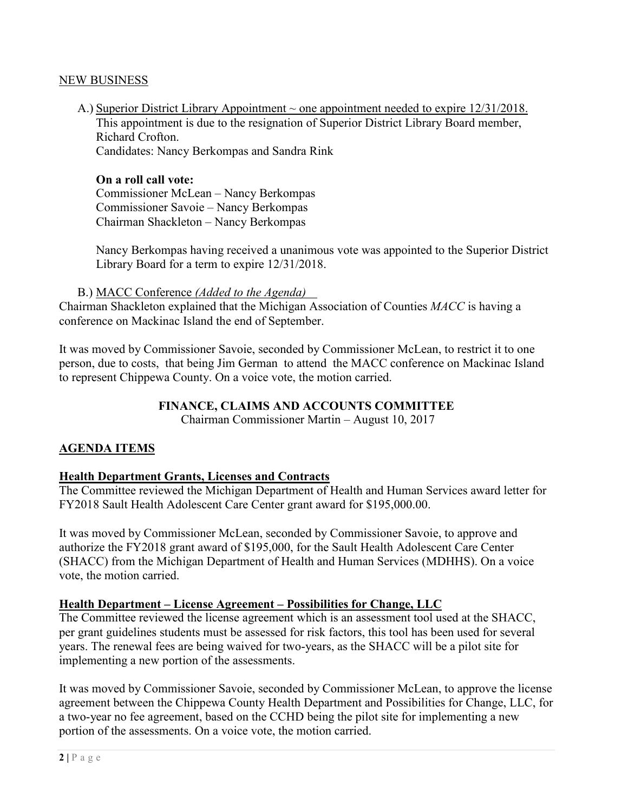#### NEW BUSINESS

A.) Superior District Library Appointment  $\sim$  one appointment needed to expire 12/31/2018. This appointment is due to the resignation of Superior District Library Board member, Richard Crofton. Candidates: Nancy Berkompas and Sandra Rink

**On a roll call vote:**  Commissioner McLean – Nancy Berkompas Commissioner Savoie – Nancy Berkompas Chairman Shackleton – Nancy Berkompas

Nancy Berkompas having received a unanimous vote was appointed to the Superior District Library Board for a term to expire 12/31/2018.

#### B.) MACC Conference *(Added to the Agenda)*

Chairman Shackleton explained that the Michigan Association of Counties *MACC* is having a conference on Mackinac Island the end of September.

It was moved by Commissioner Savoie, seconded by Commissioner McLean, to restrict it to one person, due to costs, that being Jim German to attend the MACC conference on Mackinac Island to represent Chippewa County. On a voice vote, the motion carried.

# **FINANCE, CLAIMS AND ACCOUNTS COMMITTEE**

Chairman Commissioner Martin – August 10, 2017

# **AGENDA ITEMS**

# **Health Department Grants, Licenses and Contracts**

The Committee reviewed the Michigan Department of Health and Human Services award letter for FY2018 Sault Health Adolescent Care Center grant award for \$195,000.00.

It was moved by Commissioner McLean, seconded by Commissioner Savoie, to approve and authorize the FY2018 grant award of \$195,000, for the Sault Health Adolescent Care Center (SHACC) from the Michigan Department of Health and Human Services (MDHHS). On a voice vote, the motion carried.

# **Health Department – License Agreement – Possibilities for Change, LLC**

The Committee reviewed the license agreement which is an assessment tool used at the SHACC, per grant guidelines students must be assessed for risk factors, this tool has been used for several years. The renewal fees are being waived for two-years, as the SHACC will be a pilot site for implementing a new portion of the assessments.

It was moved by Commissioner Savoie, seconded by Commissioner McLean, to approve the license agreement between the Chippewa County Health Department and Possibilities for Change, LLC, for a two-year no fee agreement, based on the CCHD being the pilot site for implementing a new portion of the assessments. On a voice vote, the motion carried.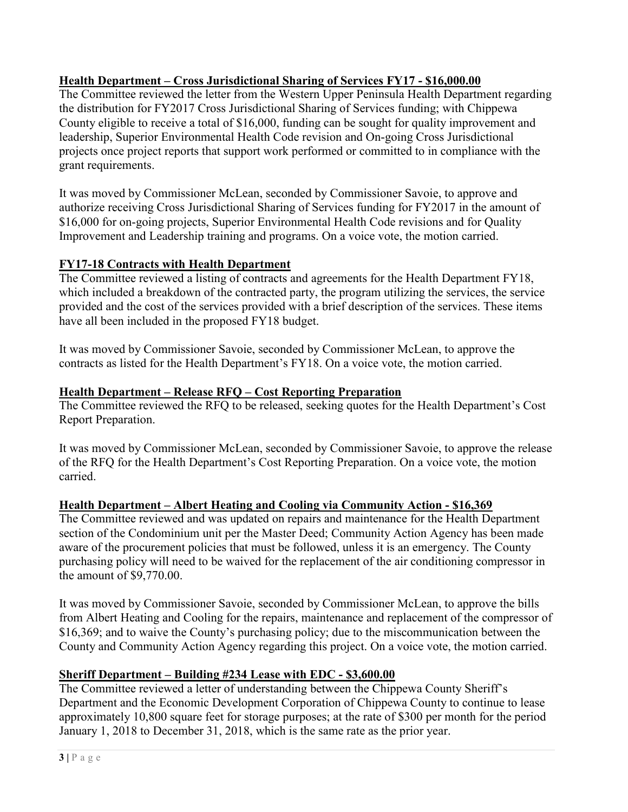# **Health Department – Cross Jurisdictional Sharing of Services FY17 - \$16,000.00**

The Committee reviewed the letter from the Western Upper Peninsula Health Department regarding the distribution for FY2017 Cross Jurisdictional Sharing of Services funding; with Chippewa County eligible to receive a total of \$16,000, funding can be sought for quality improvement and leadership, Superior Environmental Health Code revision and On-going Cross Jurisdictional projects once project reports that support work performed or committed to in compliance with the grant requirements.

It was moved by Commissioner McLean, seconded by Commissioner Savoie, to approve and authorize receiving Cross Jurisdictional Sharing of Services funding for FY2017 in the amount of \$16,000 for on-going projects, Superior Environmental Health Code revisions and for Quality Improvement and Leadership training and programs. On a voice vote, the motion carried.

# **FY17-18 Contracts with Health Department**

The Committee reviewed a listing of contracts and agreements for the Health Department FY18, which included a breakdown of the contracted party, the program utilizing the services, the service provided and the cost of the services provided with a brief description of the services. These items have all been included in the proposed FY18 budget.

It was moved by Commissioner Savoie, seconded by Commissioner McLean, to approve the contracts as listed for the Health Department's FY18. On a voice vote, the motion carried.

# **Health Department – Release RFQ – Cost Reporting Preparation**

The Committee reviewed the RFQ to be released, seeking quotes for the Health Department's Cost Report Preparation.

It was moved by Commissioner McLean, seconded by Commissioner Savoie, to approve the release of the RFQ for the Health Department's Cost Reporting Preparation. On a voice vote, the motion carried.

# **Health Department – Albert Heating and Cooling via Community Action - \$16,369**

The Committee reviewed and was updated on repairs and maintenance for the Health Department section of the Condominium unit per the Master Deed; Community Action Agency has been made aware of the procurement policies that must be followed, unless it is an emergency. The County purchasing policy will need to be waived for the replacement of the air conditioning compressor in the amount of \$9,770.00.

It was moved by Commissioner Savoie, seconded by Commissioner McLean, to approve the bills from Albert Heating and Cooling for the repairs, maintenance and replacement of the compressor of \$16,369; and to waive the County's purchasing policy; due to the miscommunication between the County and Community Action Agency regarding this project. On a voice vote, the motion carried.

# **Sheriff Department – Building #234 Lease with EDC - \$3,600.00**

The Committee reviewed a letter of understanding between the Chippewa County Sheriff's Department and the Economic Development Corporation of Chippewa County to continue to lease approximately 10,800 square feet for storage purposes; at the rate of \$300 per month for the period January 1, 2018 to December 31, 2018, which is the same rate as the prior year.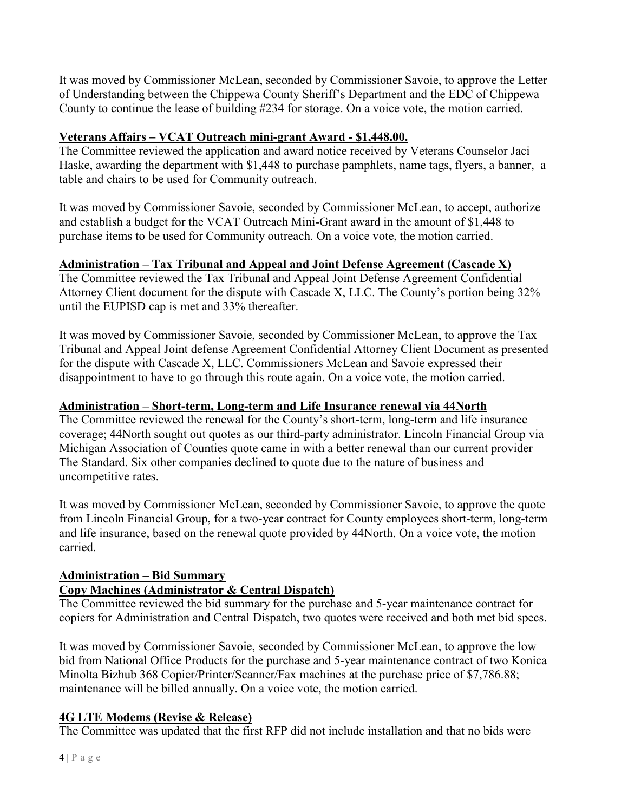It was moved by Commissioner McLean, seconded by Commissioner Savoie, to approve the Letter of Understanding between the Chippewa County Sheriff's Department and the EDC of Chippewa County to continue the lease of building #234 for storage. On a voice vote, the motion carried.

# **Veterans Affairs – VCAT Outreach mini-grant Award - \$1,448.00.**

The Committee reviewed the application and award notice received by Veterans Counselor Jaci Haske, awarding the department with \$1,448 to purchase pamphlets, name tags, flyers, a banner, a table and chairs to be used for Community outreach.

It was moved by Commissioner Savoie, seconded by Commissioner McLean, to accept, authorize and establish a budget for the VCAT Outreach Mini-Grant award in the amount of \$1,448 to purchase items to be used for Community outreach. On a voice vote, the motion carried.

# **Administration – Tax Tribunal and Appeal and Joint Defense Agreement (Cascade X)**

The Committee reviewed the Tax Tribunal and Appeal Joint Defense Agreement Confidential Attorney Client document for the dispute with Cascade X, LLC. The County's portion being 32% until the EUPISD cap is met and 33% thereafter.

It was moved by Commissioner Savoie, seconded by Commissioner McLean, to approve the Tax Tribunal and Appeal Joint defense Agreement Confidential Attorney Client Document as presented for the dispute with Cascade X, LLC. Commissioners McLean and Savoie expressed their disappointment to have to go through this route again. On a voice vote, the motion carried.

# **Administration – Short-term, Long-term and Life Insurance renewal via 44North**

The Committee reviewed the renewal for the County's short-term, long-term and life insurance coverage; 44North sought out quotes as our third-party administrator. Lincoln Financial Group via Michigan Association of Counties quote came in with a better renewal than our current provider The Standard. Six other companies declined to quote due to the nature of business and uncompetitive rates.

It was moved by Commissioner McLean, seconded by Commissioner Savoie, to approve the quote from Lincoln Financial Group, for a two-year contract for County employees short-term, long-term and life insurance, based on the renewal quote provided by 44North. On a voice vote, the motion carried.

# **Administration – Bid Summary**

# **Copy Machines (Administrator & Central Dispatch)**

The Committee reviewed the bid summary for the purchase and 5-year maintenance contract for copiers for Administration and Central Dispatch, two quotes were received and both met bid specs.

It was moved by Commissioner Savoie, seconded by Commissioner McLean, to approve the low bid from National Office Products for the purchase and 5-year maintenance contract of two Konica Minolta Bizhub 368 Copier/Printer/Scanner/Fax machines at the purchase price of \$7,786.88; maintenance will be billed annually. On a voice vote, the motion carried.

# **4G LTE Modems (Revise & Release)**

The Committee was updated that the first RFP did not include installation and that no bids were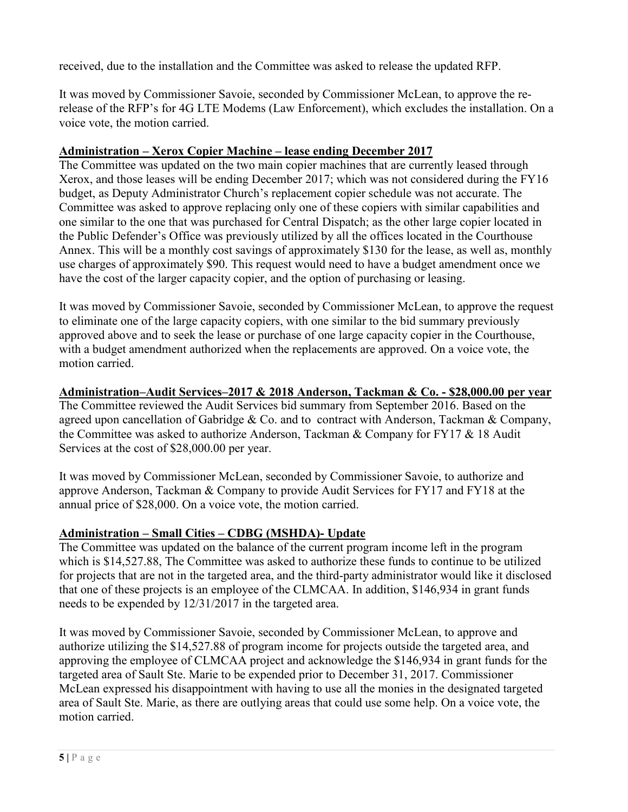received, due to the installation and the Committee was asked to release the updated RFP.

It was moved by Commissioner Savoie, seconded by Commissioner McLean, to approve the rerelease of the RFP's for 4G LTE Modems (Law Enforcement), which excludes the installation. On a voice vote, the motion carried.

#### **Administration – Xerox Copier Machine – lease ending December 2017**

The Committee was updated on the two main copier machines that are currently leased through Xerox, and those leases will be ending December 2017; which was not considered during the FY16 budget, as Deputy Administrator Church's replacement copier schedule was not accurate. The Committee was asked to approve replacing only one of these copiers with similar capabilities and one similar to the one that was purchased for Central Dispatch; as the other large copier located in the Public Defender's Office was previously utilized by all the offices located in the Courthouse Annex. This will be a monthly cost savings of approximately \$130 for the lease, as well as, monthly use charges of approximately \$90. This request would need to have a budget amendment once we have the cost of the larger capacity copier, and the option of purchasing or leasing.

It was moved by Commissioner Savoie, seconded by Commissioner McLean, to approve the request to eliminate one of the large capacity copiers, with one similar to the bid summary previously approved above and to seek the lease or purchase of one large capacity copier in the Courthouse, with a budget amendment authorized when the replacements are approved. On a voice vote, the motion carried.

# **Administration–Audit Services–2017 & 2018 Anderson, Tackman & Co. - \$28,000.00 per year**

The Committee reviewed the Audit Services bid summary from September 2016. Based on the agreed upon cancellation of Gabridge & Co. and to contract with Anderson, Tackman & Company, the Committee was asked to authorize Anderson, Tackman & Company for FY17 & 18 Audit Services at the cost of \$28,000.00 per year.

It was moved by Commissioner McLean, seconded by Commissioner Savoie, to authorize and approve Anderson, Tackman & Company to provide Audit Services for FY17 and FY18 at the annual price of \$28,000. On a voice vote, the motion carried.

# **Administration – Small Cities – CDBG (MSHDA)- Update**

The Committee was updated on the balance of the current program income left in the program which is \$14,527.88, The Committee was asked to authorize these funds to continue to be utilized for projects that are not in the targeted area, and the third-party administrator would like it disclosed that one of these projects is an employee of the CLMCAA. In addition, \$146,934 in grant funds needs to be expended by 12/31/2017 in the targeted area.

It was moved by Commissioner Savoie, seconded by Commissioner McLean, to approve and authorize utilizing the \$14,527.88 of program income for projects outside the targeted area, and approving the employee of CLMCAA project and acknowledge the \$146,934 in grant funds for the targeted area of Sault Ste. Marie to be expended prior to December 31, 2017. Commissioner McLean expressed his disappointment with having to use all the monies in the designated targeted area of Sault Ste. Marie, as there are outlying areas that could use some help. On a voice vote, the motion carried.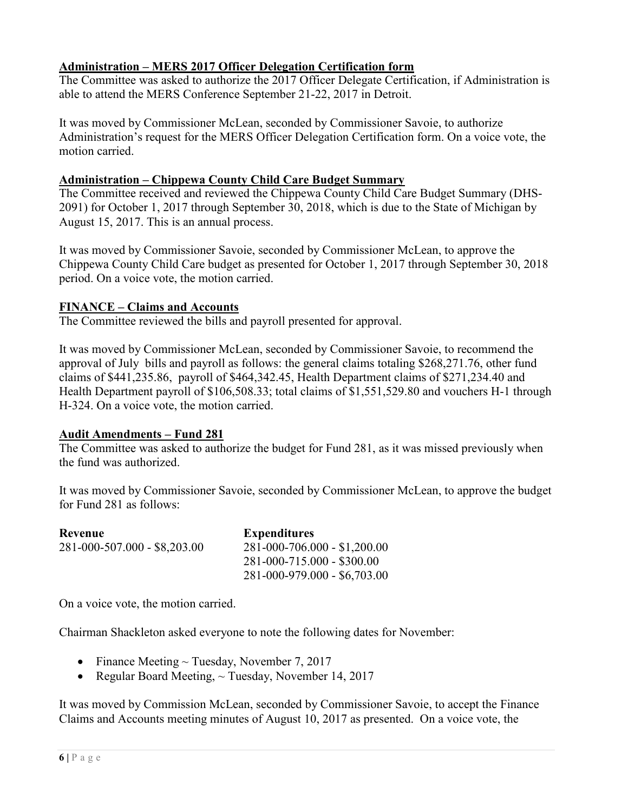# **Administration – MERS 2017 Officer Delegation Certification form**

The Committee was asked to authorize the 2017 Officer Delegate Certification, if Administration is able to attend the MERS Conference September 21-22, 2017 in Detroit.

It was moved by Commissioner McLean, seconded by Commissioner Savoie, to authorize Administration's request for the MERS Officer Delegation Certification form. On a voice vote, the motion carried.

#### **Administration – Chippewa County Child Care Budget Summary**

The Committee received and reviewed the Chippewa County Child Care Budget Summary (DHS-2091) for October 1, 2017 through September 30, 2018, which is due to the State of Michigan by August 15, 2017. This is an annual process.

It was moved by Commissioner Savoie, seconded by Commissioner McLean, to approve the Chippewa County Child Care budget as presented for October 1, 2017 through September 30, 2018 period. On a voice vote, the motion carried.

# **FINANCE – Claims and Accounts**

The Committee reviewed the bills and payroll presented for approval.

It was moved by Commissioner McLean, seconded by Commissioner Savoie, to recommend the approval of July bills and payroll as follows: the general claims totaling \$268,271.76, other fund claims of \$441,235.86, payroll of \$464,342.45, Health Department claims of \$271,234.40 and Health Department payroll of \$106,508.33; total claims of \$1,551,529.80 and vouchers H-1 through H-324. On a voice vote, the motion carried.

# **Audit Amendments – Fund 281**

The Committee was asked to authorize the budget for Fund 281, as it was missed previously when the fund was authorized.

It was moved by Commissioner Savoie, seconded by Commissioner McLean, to approve the budget for Fund 281 as follows:

| Revenue                      | <b>Expenditures</b>          |
|------------------------------|------------------------------|
| 281-000-507.000 - \$8,203.00 | 281-000-706.000 - \$1,200.00 |
|                              | 281-000-715.000 - \$300.00   |
|                              | 281-000-979.000 - \$6,703.00 |

On a voice vote, the motion carried.

Chairman Shackleton asked everyone to note the following dates for November:

- Finance Meeting  $\sim$  Tuesday, November 7, 2017
- Regular Board Meeting,  $\sim$  Tuesday, November 14, 2017

It was moved by Commission McLean, seconded by Commissioner Savoie, to accept the Finance Claims and Accounts meeting minutes of August 10, 2017 as presented. On a voice vote, the